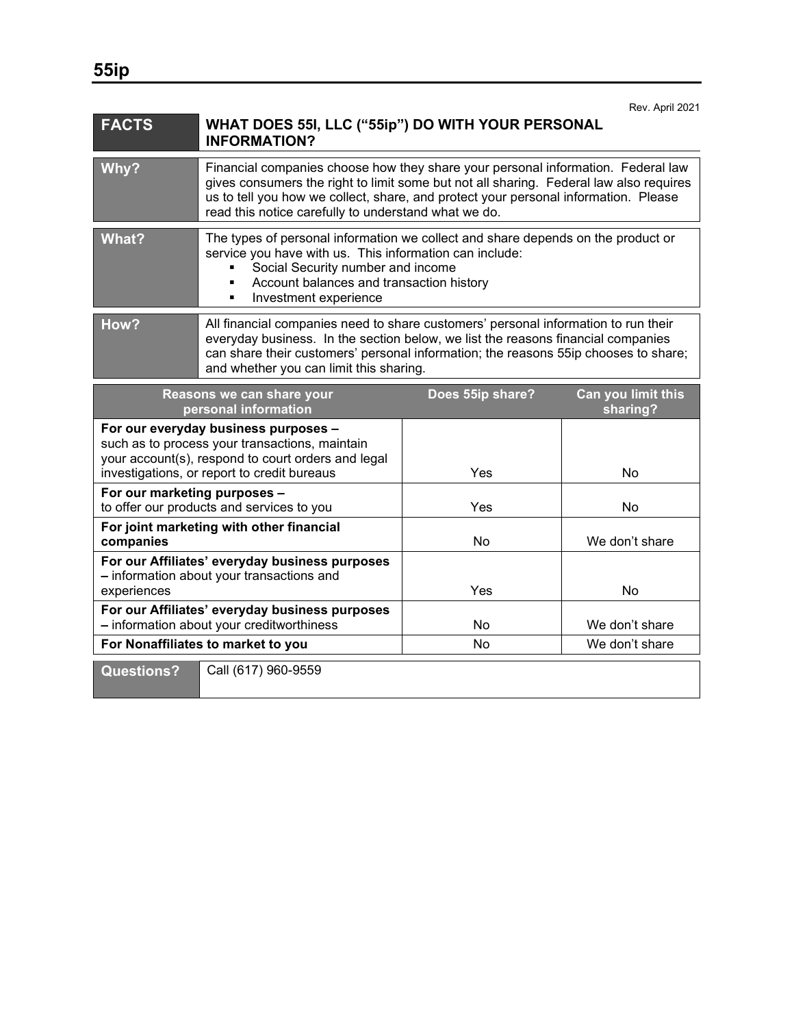| <b>FACTS</b>                                                                                                                                                                                | WHAT DOES 55I, LLC ("55ip") DO WITH YOUR PERSONAL<br><b>INFORMATION?</b>                                                                                                                                                                                                                                                  |                  |                                |
|---------------------------------------------------------------------------------------------------------------------------------------------------------------------------------------------|---------------------------------------------------------------------------------------------------------------------------------------------------------------------------------------------------------------------------------------------------------------------------------------------------------------------------|------------------|--------------------------------|
| Why?                                                                                                                                                                                        | Financial companies choose how they share your personal information. Federal law<br>gives consumers the right to limit some but not all sharing. Federal law also requires<br>us to tell you how we collect, share, and protect your personal information. Please<br>read this notice carefully to understand what we do. |                  |                                |
| What?                                                                                                                                                                                       | The types of personal information we collect and share depends on the product or<br>service you have with us. This information can include:<br>Social Security number and income<br>Account balances and transaction history<br>Investment experience<br>٠                                                                |                  |                                |
| How?                                                                                                                                                                                        | All financial companies need to share customers' personal information to run their<br>everyday business. In the section below, we list the reasons financial companies<br>can share their customers' personal information; the reasons 55ip chooses to share;<br>and whether you can limit this sharing.                  |                  |                                |
| Reasons we can share your<br>personal information                                                                                                                                           |                                                                                                                                                                                                                                                                                                                           | Does 55ip share? | Can you limit this<br>sharing? |
| For our everyday business purposes -<br>such as to process your transactions, maintain<br>your account(s), respond to court orders and legal<br>investigations, or report to credit bureaus |                                                                                                                                                                                                                                                                                                                           | Yes              | No                             |
| For our marketing purposes -<br>to offer our products and services to you                                                                                                                   |                                                                                                                                                                                                                                                                                                                           | Yes              | <b>No</b>                      |
| For joint marketing with other financial<br>companies                                                                                                                                       |                                                                                                                                                                                                                                                                                                                           | No               | We don't share                 |
| For our Affiliates' everyday business purposes<br>- information about your transactions and<br>experiences                                                                                  |                                                                                                                                                                                                                                                                                                                           | Yes              | No                             |
| For our Affiliates' everyday business purposes<br>- information about your creditworthiness                                                                                                 |                                                                                                                                                                                                                                                                                                                           | No               | We don't share                 |
| For Nonaffiliates to market to you                                                                                                                                                          |                                                                                                                                                                                                                                                                                                                           | No               | We don't share                 |

**Questions?** Call (617) 960-9559